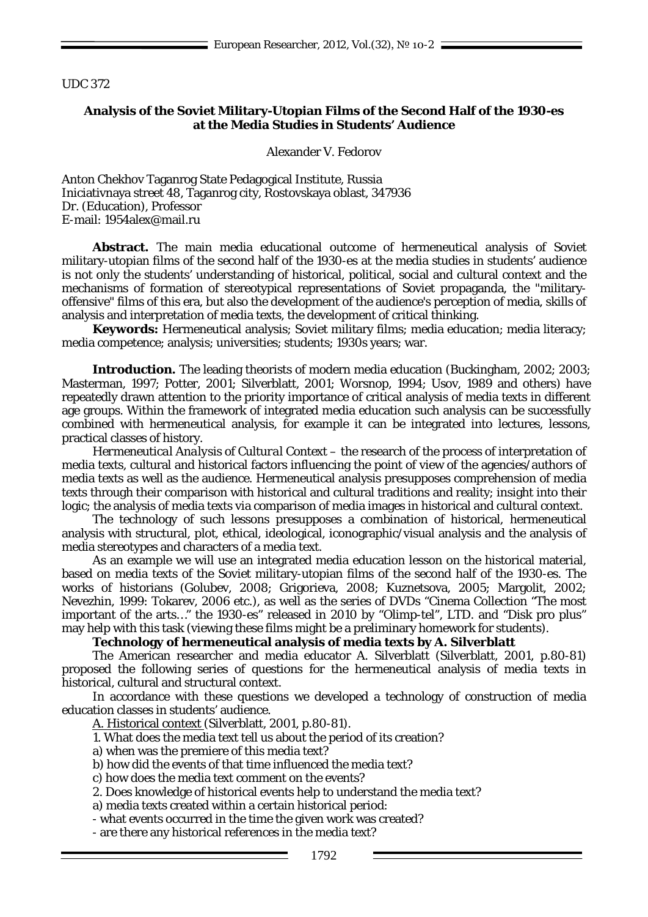UDC 372

### **Analysis of the Soviet Military-Utopian Films of the Second Half of the 1930-es at the Media Studies in Students' Audience**

Alexander V. Fedorov

Anton Chekhov Taganrog State Pedagogical Institute, Russia Iniciativnaya street 48, Taganrog city, Rostovskaya oblast, 347936 Dr. (Education), Professor E-mail: 1954alex@mail.ru

**Abstract.** The main media educational outcome of hermeneutical analysis of Soviet military-utopian films of the second half of the 1930-es at the media studies in students' audience is not only the students' understanding of historical, political, social and cultural context and the mechanisms of formation of stereotypical representations of Soviet propaganda, the "militaryoffensive" films of this era, but also the development of the audience's perception of media, skills of analysis and interpretation of media texts, the development of critical thinking.

**Keywords:** Hermeneutical analysis; Soviet military films; media education; media literacy; media competence; analysis; universities; students; 1930s years; war.

**Introduction.** The leading theorists of modern media education (Buckingham, 2002; 2003; Masterman, 1997; Potter, 2001; Silverblatt, 2001; Worsnop, 1994; Usov, 1989 and others) have repeatedly drawn attention to the priority importance of critical analysis of media texts in different age groups. Within the framework of integrated media education such analysis can be successfully combined with hermeneutical analysis, for example it can be integrated into lectures, lessons, practical classes of history.

*Hermeneutical Analysis of Cultural Context* – the research of the process of interpretation of media texts, cultural and historical factors influencing the point of view of the agencies/authors of media texts as well as the audience. Hermeneutical analysis presupposes comprehension of media texts through their comparison with historical and cultural traditions and reality; insight into their logic; the analysis of media texts via comparison of media images in historical and cultural context.

The technology of such lessons presupposes a combination of historical, hermeneutical analysis with structural, plot, ethical, ideological, iconographic/visual analysis and the analysis of media stereotypes and characters of a media text.

As an example we will use an integrated media education lesson on the historical material, based on media texts of the Soviet military-utopian films of the second half of the 1930-es. The works of historians (Golubev, 2008; Grigorieva, 2008; Kuznetsova, 2005; Margolit, 2002; Nevezhin, 1999: Tokarev, 2006 etc.), as well as the series of DVDs "Cinema Collection "The most important of the arts…" the 1930-es" released in 2010 by "Olimp-tel", LTD. and "Disk pro plus" may help with this task (viewing these films might be a preliminary homework for students).

## **Technology of hermeneutical analysis of media texts by A. Silverblatt**

The American researcher and media educator A. Silverblatt (Silverblatt, 2001, p.80-81) proposed the following series of questions for the hermeneutical analysis of media texts in historical, cultural and structural context.

In accordance with these questions we developed a technology of construction of media education classes in students' audience.

A. Historical context (Silverblatt, 2001, p.80-81).

1. What does the media text tell us about the period of its creation?

a) when was the premiere of this media text?

b) how did the events of that time influenced the media text?

c) how does the media text comment on the events?

2. Does knowledge of historical events help to understand the media text?

a) media texts created within a certain historical period:

- what events occurred in the time the given work was created?

- are there any historical references in the media text?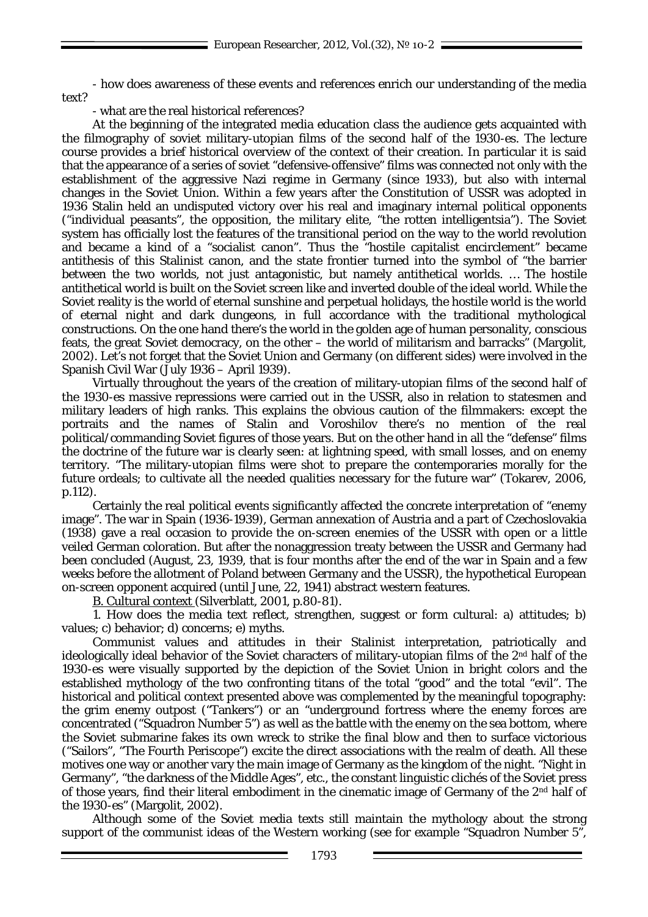- how does awareness of these events and references enrich our understanding of the media text?

- what are the real historical references?

At the beginning of the integrated media education class the audience gets acquainted with the filmography of soviet military-utopian films of the second half of the 1930-es. The lecture course provides a brief historical overview of the context of their creation. In particular it is said that the appearance of a series of soviet "defensive-offensive" films was connected not only with the establishment of the aggressive Nazi regime in Germany (since 1933), but also with internal changes in the Soviet Union. Within a few years after the Constitution of USSR was adopted in 1936 Stalin held an undisputed victory over his real and imaginary internal political opponents ("individual peasants", the opposition, the military elite, "the rotten intelligentsia"). The Soviet system has officially lost the features of the transitional period on the way to the world revolution and became a kind of a "socialist canon". Thus the "hostile capitalist encirclement" became antithesis of this Stalinist canon, and the state frontier turned into the symbol of "the barrier between the two worlds, not just antagonistic, but namely antithetical worlds. … The hostile antithetical world is built on the Soviet screen like and inverted double of the ideal world. While the Soviet reality is the world of eternal sunshine and perpetual holidays, the hostile world is the world of eternal night and dark dungeons, in full accordance with the traditional mythological constructions. On the one hand there's the world in the golden age of human personality, conscious feats, the great Soviet democracy, on the other – the world of militarism and barracks" (Margolit, 2002). Let's not forget that the Soviet Union and Germany (on different sides) were involved in the Spanish Civil War (July 1936 – April 1939).

Virtually throughout the years of the creation of military-utopian films of the second half of the 1930-es massive repressions were carried out in the USSR, also in relation to statesmen and military leaders of high ranks. This explains the obvious caution of the filmmakers: except the portraits and the names of Stalin and Voroshilov there's no mention of the real political/commanding Soviet figures of those years. But on the other hand in all the "defense" films the doctrine of the future war is clearly seen: at lightning speed, with small losses, and on enemy territory. "The military-utopian films were shot to prepare the contemporaries morally for the future ordeals; to cultivate all the needed qualities necessary for the future war" (Tokarev, 2006, p.112).

Certainly the real political events significantly affected the concrete interpretation of "enemy image". The war in Spain (1936-1939), German annexation of Austria and a part of Czechoslovakia (1938) gave a real occasion to provide the on-screen enemies of the USSR with open or a little veiled German coloration. But after the nonaggression treaty between the USSR and Germany had been concluded (August, 23, 1939, that is four months after the end of the war in Spain and a few weeks before the allotment of Poland between Germany and the USSR), the hypothetical European on-screen opponent acquired (until June, 22, 1941) abstract western features.

B. Cultural context (Silverblatt, 2001, p.80-81).

1. How does the media text reflect, strengthen, suggest or form cultural: a) attitudes; b) values; c) behavior; d) concerns; e) myths.

Communist values and attitudes in their Stalinist interpretation, patriotically and ideologically ideal behavior of the Soviet characters of military-utopian films of the 2nd half of the 1930-es were visually supported by the depiction of the Soviet Union in bright colors and the established mythology of the two confronting titans of the total "good" and the total "evil". The historical and political context presented above was complemented by the meaningful topography: the grim enemy outpost ("Tankers") or an "underground fortress where the enemy forces are concentrated ("Squadron Number 5") as well as the battle with the enemy on the sea bottom, where the Soviet submarine fakes its own wreck to strike the final blow and then to surface victorious ("Sailors", "The Fourth Periscope") excite the direct associations with the realm of death. All these motives one way or another vary the main image of Germany as the kingdom of the night. "Night in Germany", "the darkness of the Middle Ages", etc., the constant linguistic clichés of the Soviet press of those years, find their literal embodiment in the cinematic image of Germany of the 2nd half of the 1930-es" (Margolit, 2002).

Although some of the Soviet media texts still maintain the mythology about the strong support of the communist ideas of the Western working (see for example "Squadron Number 5",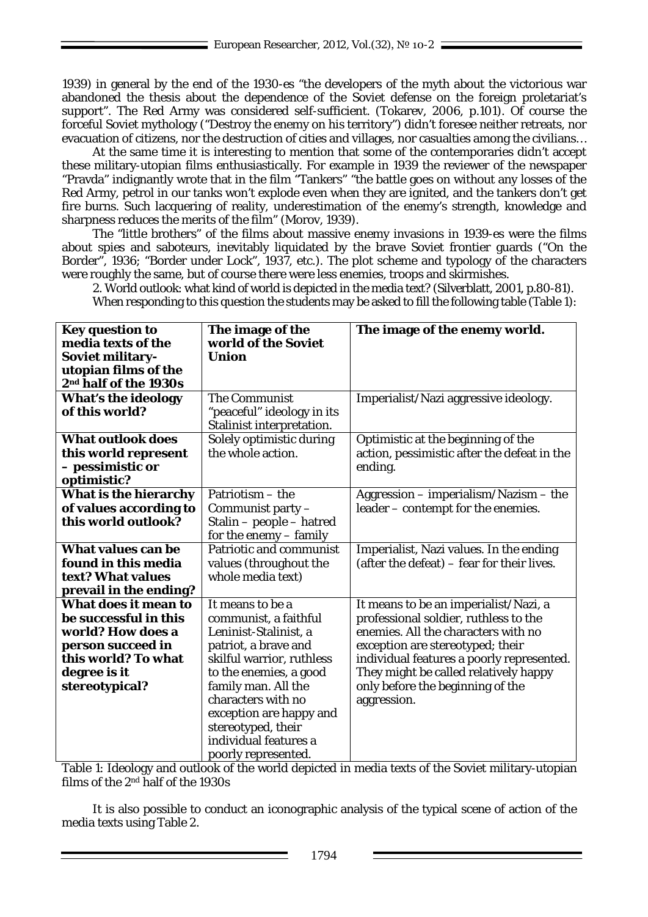1939) in general by the end of the 1930-es "the developers of the myth about the victorious war abandoned the thesis about the dependence of the Soviet defense on the foreign proletariat's support". The Red Army was considered self-sufficient. (Tokarev, 2006, p.101). Of course the forceful Soviet mythology ("Destroy the enemy on his territory") didn't foresee neither retreats, nor evacuation of citizens, nor the destruction of cities and villages, nor casualties among the civilians…

At the same time it is interesting to mention that some of the contemporaries didn't accept these military-utopian films enthusiastically. For example in 1939 the reviewer of the newspaper "Pravda" indignantly wrote that in the film "Tankers" "the battle goes on without any losses of the Red Army, petrol in our tanks won't explode even when they are ignited, and the tankers don't get fire burns. Such lacquering of reality, underestimation of the enemy's strength, knowledge and sharpness reduces the merits of the film" (Morov, 1939).

The "little brothers" of the films about massive enemy invasions in 1939-es were the films about spies and saboteurs, inevitably liquidated by the brave Soviet frontier guards ("On the Border", 1936; "Border under Lock", 1937, etc.). The plot scheme and typology of the characters were roughly the same, but of course there were less enemies, troops and skirmishes.

2. World outlook: what kind of world is depicted in the media text? (Silverblatt, 2001, p.80-81). When responding to this question the students may be asked to fill the following table (Table 1):

| <b>Key question to</b><br>media texts of the<br><b>Soviet military-</b><br>utopian films of the<br>2 <sup>nd</sup> half of the 1930s | The image of the<br>world of the Soviet<br><b>Union</b>                                                                                                                    | The image of the enemy world.                                                                                                                             |
|--------------------------------------------------------------------------------------------------------------------------------------|----------------------------------------------------------------------------------------------------------------------------------------------------------------------------|-----------------------------------------------------------------------------------------------------------------------------------------------------------|
| <b>What's the ideology</b><br>of this world?                                                                                         | <b>The Communist</b><br>"peaceful" ideology in its<br>Stalinist interpretation.                                                                                            | Imperialist/Nazi aggressive ideology.                                                                                                                     |
| <b>What outlook does</b><br>this world represent<br>– pessimistic or<br>optimistic?                                                  | Solely optimistic during<br>the whole action.                                                                                                                              | Optimistic at the beginning of the<br>action, pessimistic after the defeat in the<br>ending.                                                              |
| What is the hierarchy<br>of values according to<br>this world outlook?                                                               | Patriotism - the<br>Communist party -<br>Stalin - people - hatred<br>for the enemy - family                                                                                | Aggression - imperialism/Nazism - the<br>leader – contempt for the enemies.                                                                               |
| What values can be<br>found in this media<br>text? What values<br>prevail in the ending?                                             | Patriotic and communist<br>values (throughout the<br>whole media text)                                                                                                     | Imperialist, Nazi values. In the ending<br>$after the defeat) - fear for their lives.$                                                                    |
| What does it mean to<br>be successful in this<br>world? How does a<br>person succeed in<br>this world? To what                       | It means to be a<br>communist, a faithful<br>Leninist-Stalinist, a<br>patriot, a brave and                                                                                 | It means to be an imperialist/Nazi, a<br>professional soldier, ruthless to the<br>enemies. All the characters with no<br>exception are stereotyped; their |
| degree is it<br>stereotypical?                                                                                                       | skilful warrior, ruthless<br>to the enemies, a good<br>family man. All the<br>characters with no<br>exception are happy and<br>stereotyped, their<br>individual features a | individual features a poorly represented.<br>They might be called relatively happy<br>only before the beginning of the<br>aggression.                     |
|                                                                                                                                      | poorly represented.                                                                                                                                                        |                                                                                                                                                           |

Table 1: Ideology and outlook of the world depicted in media texts of the Soviet military-utopian films of the  $2<sup>nd</sup>$  half of the 1930s

It is also possible to conduct an iconographic analysis of the typical scene of action of the media texts using Table 2.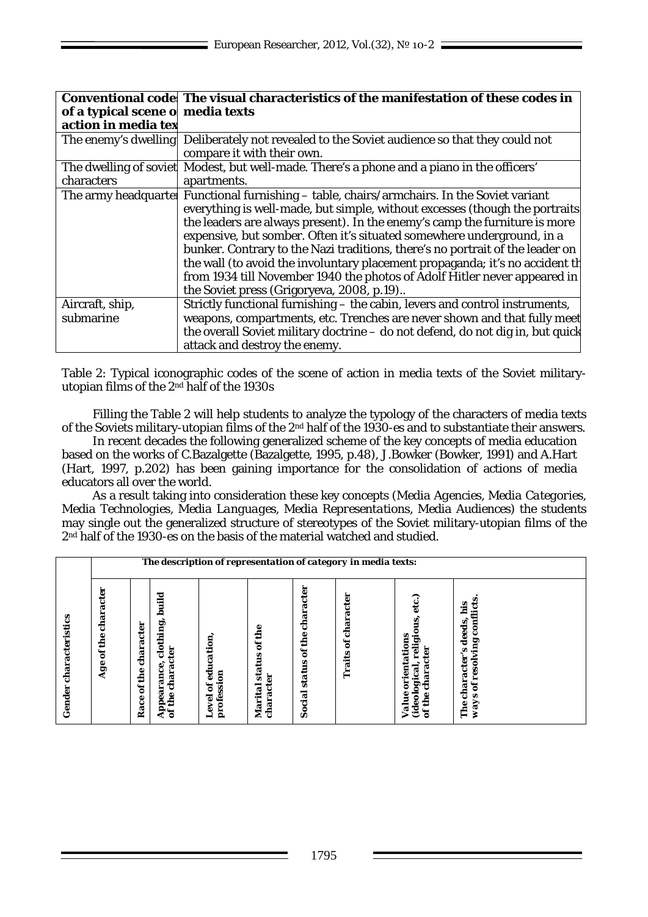| of a typical scene o media texts | Conventional code. The visual characteristics of the manifestation of these codes in                                                                                                                                                                                                                                                                                                                                                                                                                |
|----------------------------------|-----------------------------------------------------------------------------------------------------------------------------------------------------------------------------------------------------------------------------------------------------------------------------------------------------------------------------------------------------------------------------------------------------------------------------------------------------------------------------------------------------|
| action in media tex              |                                                                                                                                                                                                                                                                                                                                                                                                                                                                                                     |
|                                  | The enemy's dwelling Deliberately not revealed to the Soviet audience so that they could not                                                                                                                                                                                                                                                                                                                                                                                                        |
|                                  | compare it with their own.                                                                                                                                                                                                                                                                                                                                                                                                                                                                          |
|                                  | The dwelling of soviet Modest, but well-made. There's a phone and a piano in the officers'                                                                                                                                                                                                                                                                                                                                                                                                          |
| characters                       | apartments.                                                                                                                                                                                                                                                                                                                                                                                                                                                                                         |
|                                  | The army headquarter Functional furnishing – table, chairs/armchairs. In the Soviet variant<br>everything is well-made, but simple, without excesses (though the portraits<br>the leaders are always present). In the enemy's camp the furniture is more<br>expensive, but somber. Often it's situated somewhere underground, in a<br>bunker. Contrary to the Nazi traditions, there's no portrait of the leader on<br>the wall (to avoid the involuntary placement propaganda; it's no accident th |
|                                  | from 1934 till November 1940 the photos of Adolf Hitler never appeared in<br>the Soviet press (Grigoryeva, 2008, p.19)                                                                                                                                                                                                                                                                                                                                                                              |
|                                  |                                                                                                                                                                                                                                                                                                                                                                                                                                                                                                     |
| Aircraft, ship,                  | Strictly functional furnishing - the cabin, levers and control instruments,                                                                                                                                                                                                                                                                                                                                                                                                                         |
| submarine                        | weapons, compartments, etc. Trenches are never shown and that fully meet                                                                                                                                                                                                                                                                                                                                                                                                                            |
|                                  | the overall Soviet military doctrine - do not defend, do not dig in, but quick                                                                                                                                                                                                                                                                                                                                                                                                                      |
|                                  | attack and destroy the enemy.                                                                                                                                                                                                                                                                                                                                                                                                                                                                       |

Table 2: Typical iconographic codes of the scene of action in media texts of the Soviet militaryutopian films of the 2nd half of the 1930s

Filling the Table 2 will help students to analyze the typology of the characters of media texts of the Soviets military-utopian films of the 2nd half of the 1930-es and to substantiate their answers.

In recent decades the following generalized scheme of the key concepts of media education based on the works of C.Bazalgette (Bazalgette, 1995, p.48), J.Bowker (Bowker, 1991) and A.Hart (Hart, 1997, p.202) has been gaining importance for the consolidation of actions of media educators all over the world.

As a result taking into consideration these key concepts (*Media Agencies, Media Categories, Media Technologies, Media Languages, Media Representations, Media Audiences*) the students may single out the generalized structure of stereotypes of the Soviet military-utopian films of the 2<sup>nd</sup> half of the 1930-es on the basis of the material watched and studied.

|                                |                                    |                                                            |                             |                                                   |                                                                       |                                                        | The description of representation of category in media texts: |                       |                                                               |
|--------------------------------|------------------------------------|------------------------------------------------------------|-----------------------------|---------------------------------------------------|-----------------------------------------------------------------------|--------------------------------------------------------|---------------------------------------------------------------|-----------------------|---------------------------------------------------------------|
| ဒ<br>H<br><u>ris</u><br>ن<br>ъ | ġ<br>è.<br>ω<br>딍<br>of the<br>Age | cter<br>ā<br>char:<br>Φ<br>€<br>⊶<br>٥<br>Φ<br>ت<br>π<br>≃ | build<br>ing<br>Ð<br>Ы<br>٥ | 5<br>بو<br>Ū<br>Sion<br>٥<br>ិ<br>profe<br>ಕ<br>┙ | dhe<br>$\ddot{\bm{z}}$<br>9<br>ā<br>ü<br>Н<br>ឨ<br>অ<br>Marit<br>char | ۵<br>o<br>ω<br>نعا<br>dhe<br>ᇹ<br>ē<br>ā<br>cial<br>S. | ۵<br>σ<br>≌<br>نه<br>٥<br><u>ក្ដ</u><br>Ě                     | etc.)<br>۵ſ<br>с<br>٥ | 0<br>pр<br>о<br>Ø<br>Õ<br>v<br>ω<br>۵<br>ರ<br>The<br>ត្ត<br>š |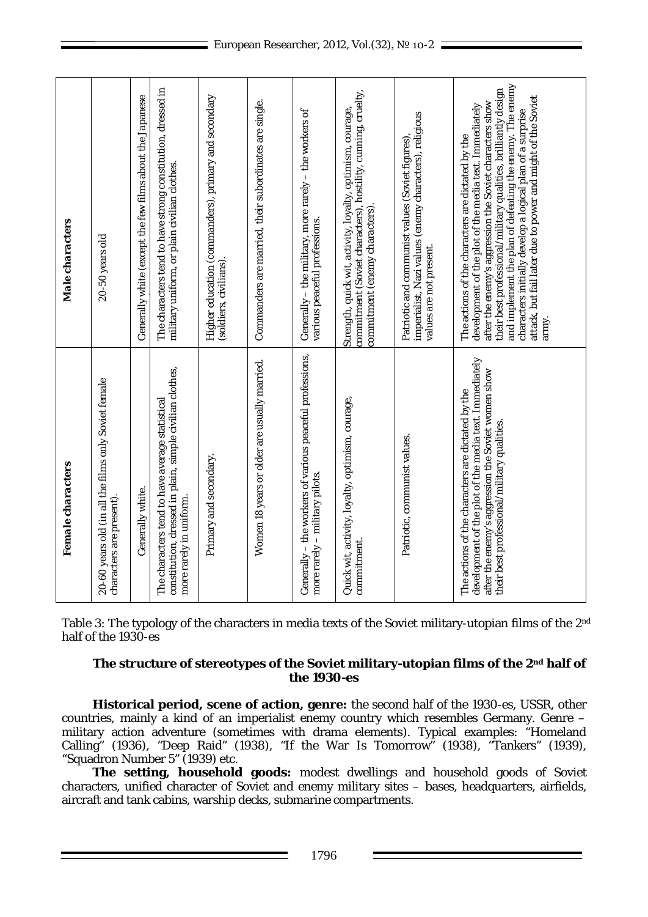| Female characters                                                                                                                                                                                                | Male characters                                                                                                                                                                                                                                                                                                                                                                                                                           |
|------------------------------------------------------------------------------------------------------------------------------------------------------------------------------------------------------------------|-------------------------------------------------------------------------------------------------------------------------------------------------------------------------------------------------------------------------------------------------------------------------------------------------------------------------------------------------------------------------------------------------------------------------------------------|
| 20-60 years old (in all the films only Soviet female<br>characters are present).                                                                                                                                 | $20-50$ years old                                                                                                                                                                                                                                                                                                                                                                                                                         |
| Generally white.                                                                                                                                                                                                 | Generally white (except the few films about the Japanese                                                                                                                                                                                                                                                                                                                                                                                  |
| constitution, dressed in plain, simple civilian clothes,<br>The characters tend to have average statistical<br>more rarely in uniform.                                                                           | The characters tend to have strong constitution, dressed in<br>military uniform, or plain civilian clothes.                                                                                                                                                                                                                                                                                                                               |
| Primary and secondary.                                                                                                                                                                                           | Higher education (commanders), primary and secondary<br>(soldiers, civilians).                                                                                                                                                                                                                                                                                                                                                            |
| Women 18 years or older are usually married.                                                                                                                                                                     | Commanders are married, their subordinates are single.                                                                                                                                                                                                                                                                                                                                                                                    |
| Generally - the workers of various peaceful professions,<br>more rarely – military pilots.                                                                                                                       | Generally – the military, more rarely – the workers of<br>various peaceful professions.                                                                                                                                                                                                                                                                                                                                                   |
| Quick wit, activity, loyalty, optimism, courage,<br>commitment.                                                                                                                                                  | commitment (Soviet characters), hostility, cunning, cruelty,<br>Strength, quick wit, activity, loyalty, optimism, courage,<br>commitment (enemy characters)                                                                                                                                                                                                                                                                               |
| Patriotic, communist values.                                                                                                                                                                                     | imperialist, Nazi values (enemy characters), religious<br>Patriotic and communist values (Soviet figures)<br>values are not present.                                                                                                                                                                                                                                                                                                      |
| development of the plot of the media text. Immediately<br>after the enemy's aggression the Soviet women show<br>The actions of the characters are dictated by the<br>their best professional/military qualities. | and implement the plan of defeating the enemy. The enemy<br>their best professional/military qualities, brilliantly design<br>attack, but fail later due to power and might of the Soviet<br>after the enemy's aggression the Soviet characters show<br>development of the plot of the media text. Immediately<br>characters initially develop a logical plan of a surprise<br>The actions of the characters are dictated by the<br>army. |

Table 3: The typology of the characters in media texts of the Soviet military-utopian films of the 2<sup>nd</sup> half of the 1930-es

# **The structure of stereotypes of the Soviet military-utopian films of the 2nd half of the 1930-es**

**Historical period, scene of action, genre:** the second half of the 1930-es, USSR, other countries, mainly a kind of an imperialist enemy country which resembles Germany. Genre – military action adventure (sometimes with drama elements). Typical examples: "Homeland Calling" (1936), "Deep Raid" (1938), "If the War Is Tomorrow" (1938), "Tankers" (1939), "Squadron Number 5" (1939) etc.

**The setting, household goods:** modest dwellings and household goods of Soviet characters, unified character of Soviet and enemy military sites – bases, headquarters, airfields, aircraft and tank cabins, warship decks, submarine compartments.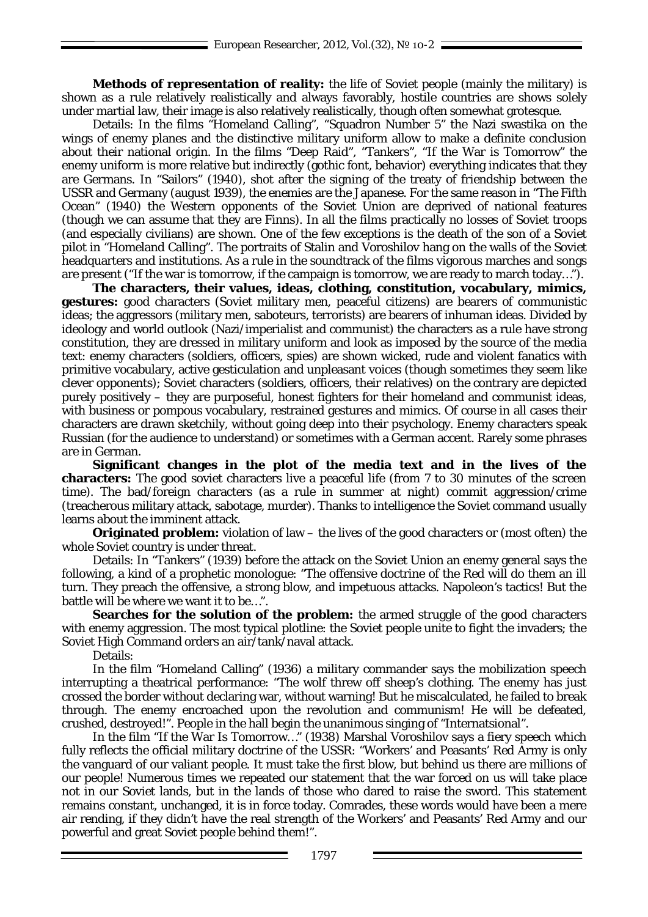**Methods of representation of reality:** the life of Soviet people (mainly the military) is shown as a rule relatively realistically and always favorably, hostile countries are shows solely under martial law, their image is also relatively realistically, though often somewhat grotesque.

Details: In the films "Homeland Calling", "Squadron Number 5" the Nazi swastika on the wings of enemy planes and the distinctive military uniform allow to make a definite conclusion about their national origin. In the films "Deep Raid", "Tankers", "If the War is Tomorrow" the enemy uniform is more relative but indirectly (gothic font, behavior) everything indicates that they are Germans. In "Sailors" (1940), shot after the signing of the treaty of friendship between the USSR and Germany (august 1939), the enemies are the Japanese. For the same reason in "The Fifth Ocean" (1940) the Western opponents of the Soviet Union are deprived of national features (though we can assume that they are Finns). In all the films practically no losses of Soviet troops (and especially civilians) are shown. One of the few exceptions is the death of the son of a Soviet pilot in "Homeland Calling". The portraits of Stalin and Voroshilov hang on the walls of the Soviet headquarters and institutions. As a rule in the soundtrack of the films vigorous marches and songs are present ("If the war is tomorrow, if the campaign is tomorrow, we are ready to march today…").

**The characters, their values, ideas, clothing, constitution, vocabulary, mimics, gestures:** good characters (Soviet military men, peaceful citizens) are bearers of communistic ideas; the aggressors (military men, saboteurs, terrorists) are bearers of inhuman ideas. Divided by ideology and world outlook (Nazi/imperialist and communist) the characters as a rule have strong constitution, they are dressed in military uniform and look as imposed by the source of the media text: enemy characters (soldiers, officers, spies) are shown wicked, rude and violent fanatics with primitive vocabulary, active gesticulation and unpleasant voices (though sometimes they seem like clever opponents); Soviet characters (soldiers, officers, their relatives) on the contrary are depicted purely positively – they are purposeful, honest fighters for their homeland and communist ideas, with business or pompous vocabulary, restrained gestures and mimics. Of course in all cases their characters are drawn sketchily, without going deep into their psychology. Enemy characters speak Russian (for the audience to understand) or sometimes with a German accent. Rarely some phrases are in German.

**Significant changes in the plot of the media text and in the lives of the characters:** The good soviet characters live a peaceful life (from 7 to 30 minutes of the screen time). The bad/foreign characters (as a rule in summer at night) commit aggression/crime (treacherous military attack, sabotage, murder). Thanks to intelligence the Soviet command usually learns about the imminent attack.

**Originated problem:** violation of law – the lives of the good characters or (most often) the whole Soviet country is under threat.

Details: In "Tankers" (1939) before the attack on the Soviet Union an enemy general says the following, a kind of a prophetic monologue: "The offensive doctrine of the Red will do them an ill turn. They preach the offensive, a strong blow, and impetuous attacks. Napoleon's tactics! But the battle will be where we want it to be…".

**Searches for the solution of the problem:** the armed struggle of the good characters with enemy aggression. The most typical plotline: the Soviet people unite to fight the invaders; the Soviet High Command orders an air/tank/naval attack.

Details:

In the film "Homeland Calling" (1936) a military commander says the mobilization speech interrupting a theatrical performance: "The wolf threw off sheep's clothing. The enemy has just crossed the border without declaring war, without warning! But he miscalculated, he failed to break through. The enemy encroached upon the revolution and communism! He will be defeated, crushed, destroyed!". People in the hall begin the unanimous singing of "Internatsional".

In the film "If the War Is Tomorrow…" (1938) Marshal Voroshilov says a fiery speech which fully reflects the official military doctrine of the USSR: "Workers' and Peasants' Red Army is only the vanguard of our valiant people. It must take the first blow, but behind us there are millions of our people! Numerous times we repeated our statement that the war forced on us will take place not in our Soviet lands, but in the lands of those who dared to raise the sword. This statement remains constant, unchanged, it is in force today. Comrades, these words would have been a mere air rending, if they didn't have the real strength of the Workers' and Peasants' Red Army and our powerful and great Soviet people behind them!".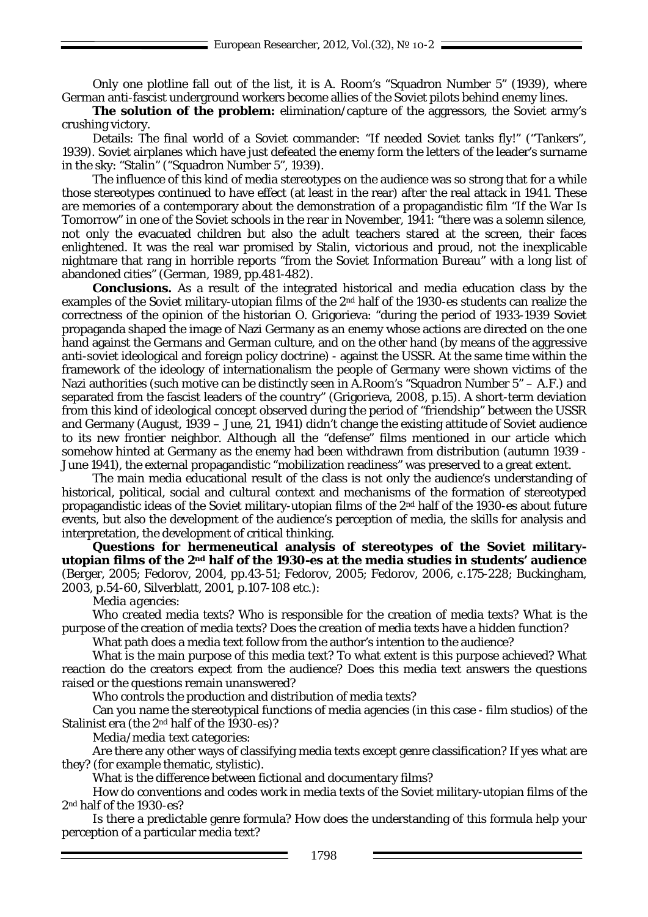Only one plotline fall out of the list, it is A. Room's "Squadron Number 5" (1939), where German anti-fascist underground workers become allies of the Soviet pilots behind enemy lines.

**The solution of the problem:** elimination/capture of the aggressors, the Soviet army's crushing victory.

Details: The final world of a Soviet commander: "If needed Soviet tanks fly!" ("Tankers", 1939). Soviet airplanes which have just defeated the enemy form the letters of the leader's surname in the sky: "Stalin" ("Squadron Number 5", 1939).

The influence of this kind of media stereotypes on the audience was so strong that for a while those stereotypes continued to have effect (at least in the rear) after the real attack in 1941. These are memories of a contemporary about the demonstration of a propagandistic film "If the War Is Tomorrow" in one of the Soviet schools in the rear in November, 1941: "there was a solemn silence, not only the evacuated children but also the adult teachers stared at the screen, their faces enlightened. It was the real war promised by Stalin, victorious and proud, not the inexplicable nightmare that rang in horrible reports "from the Soviet Information Bureau" with a long list of abandoned cities" (German, 1989, pp.481-482).

**Conclusions.** As a result of the integrated historical and media education class by the examples of the Soviet military-utopian films of the 2nd half of the 1930-es students can realize the correctness of the opinion of the historian O. Grigorieva: "during the period of 1933-1939 Soviet propaganda shaped the image of Nazi Germany as an enemy whose actions are directed on the one hand against the Germans and German culture, and on the other hand (by means of the aggressive anti-soviet ideological and foreign policy doctrine) - against the USSR. At the same time within the framework of the ideology of internationalism the people of Germany were shown victims of the Nazi authorities (such motive can be distinctly seen in A.Room's "Squadron Number 5" – A.F.) and separated from the fascist leaders of the country" (Grigorieva, 2008, p.15). A short-term deviation from this kind of ideological concept observed during the period of "friendship" between the USSR and Germany (August, 1939 – June, 21, 1941) didn't change the existing attitude of Soviet audience to its new frontier neighbor. Although all the "defense" films mentioned in our article which somehow hinted at Germany as the enemy had been withdrawn from distribution (autumn 1939 - June 1941), the external propagandistic "mobilization readiness" was preserved to a great extent.

The main media educational result of the class is not only the audience's understanding of historical, political, social and cultural context and mechanisms of the formation of stereotyped propagandistic ideas of the Soviet military-utopian films of the 2nd half of the 1930-es about future events, but also the development of the audience's perception of media, the skills for analysis and interpretation, the development of critical thinking.

**Questions for hermeneutical analysis of stereotypes of the Soviet militaryutopian films of the 2nd half of the 1930-es at the media studies in students' audience**  (Berger, 2005; Fedorov, 2004, pp.43-51; Fedorov, 2005; Fedorov, 2006, с.175-228; Buckingham, 2003, p.54-60, Silverblatt, 2001, p.107-108 etc.):

*Media agencies:* 

Who created media texts? Who is responsible for the creation of media texts? What is the purpose of the creation of media texts? Does the creation of media texts have a hidden function?

What path does a media text follow from the author's intention to the audience?

What is the main purpose of this media text? To what extent is this purpose achieved? What reaction do the creators expect from the audience? Does this media text answers the questions raised or the questions remain unanswered?

Who controls the production and distribution of media texts?

Can you name the stereotypical functions of media agencies (in this case - film studios) of the Stalinist era (the 2nd half of the 1930-es)?

*Media/media text categories:*

Are there any other ways of classifying media texts except genre classification? If yes what are they? (for example thematic, stylistic).

What is the difference between fictional and documentary films?

How do conventions and codes work in media texts of the Soviet military-utopian films of the 2nd half of the 1930-es?

Is there a predictable genre formula? How does the understanding of this formula help your perception of a particular media text?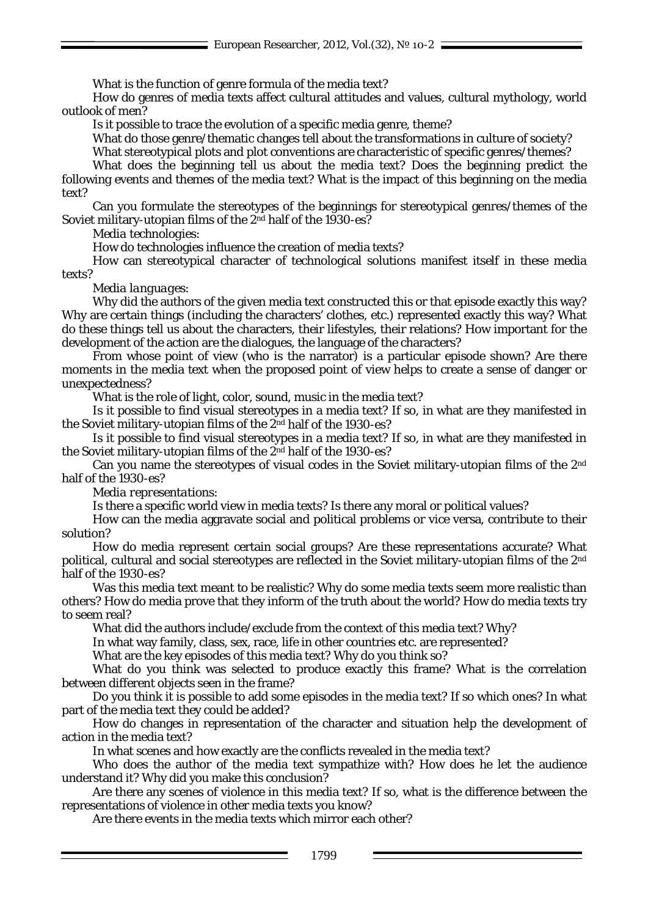What is the function of genre formula of the media text?

How do genres of media texts affect cultural attitudes and values, cultural mythology, world outlook of men?

Is it possible to trace the evolution of a specific media genre, theme?

What do those genre/thematic changes tell about the transformations in culture of society?

What stereotypical plots and plot conventions are characteristic of specific genres/themes?

What does the beginning tell us about the media text? Does the beginning predict the following events and themes of the media text? What is the impact of this beginning on the media text?

Can you formulate the stereotypes of the beginnings for stereotypical genres/themes of the Soviet military-utopian films of the 2nd half of the 1930-es?

*Media technologies:* 

How do technologies influence the creation of media texts?

How can stereotypical character of technological solutions manifest itself in these media texts?

*Media languages:*

Why did the authors of the given media text constructed this or that episode exactly this way? Why are certain things (including the characters' clothes, etc.) represented exactly this way? What do these things tell us about the characters, their lifestyles, their relations? How important for the development of the action are the dialogues, the language of the characters?

From whose point of view (who is the narrator) is a particular episode shown? Are there moments in the media text when the proposed point of view helps to create a sense of danger or unexpectedness?

What is the role of light, color, sound, music in the media text?

Is it possible to find visual stereotypes in a media text? If so, in what are they manifested in the Soviet military-utopian films of the 2nd half of the 1930-es?

Is it possible to find visual stereotypes in a media text? If so, in what are they manifested in the Soviet military-utopian films of the 2nd half of the 1930-es?

Can you name the stereotypes of visual codes in the Soviet military-utopian films of the 2nd half of the 1930-es?

*Media representations:*

Is there a specific world view in media texts? Is there any moral or political values?

How can the media aggravate social and political problems or vice versa, contribute to their solution?

How do media represent certain social groups? Are these representations accurate? What political, cultural and social stereotypes are reflected in the Soviet military-utopian films of the 2nd half of the 1930-es?

Was this media text meant to be realistic? Why do some media texts seem more realistic than others? How do media prove that they inform of the truth about the world? How do media texts try to seem real?

What did the authors include/exclude from the context of this media text? Why?

In what way family, class, sex, race, life in other countries etc. are represented?

What are the key episodes of this media text? Why do you think so?

What do you think was selected to produce exactly this frame? What is the correlation between different objects seen in the frame?

Do you think it is possible to add some episodes in the media text? If so which ones? In what part of the media text they could be added?

How do changes in representation of the character and situation help the development of action in the media text?

In what scenes and how exactly are the conflicts revealed in the media text?

Who does the author of the media text sympathize with? How does he let the audience understand it? Why did you make this conclusion?

Are there any scenes of violence in this media text? If so, what is the difference between the representations of violence in other media texts you know?

Are there events in the media texts which mirror each other?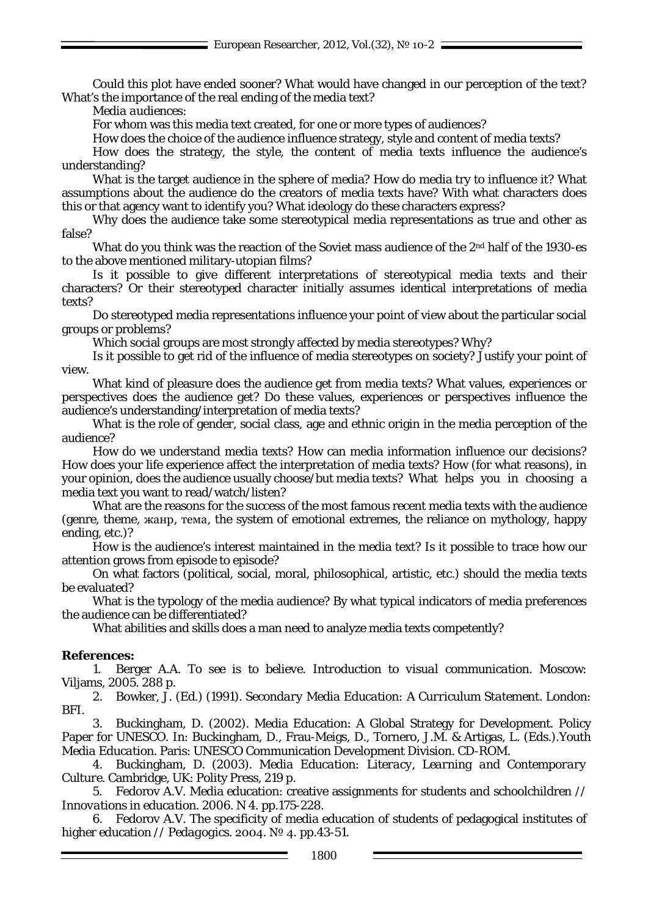Could this plot have ended sooner? What would have changed in our perception of the text? What's the importance of the real ending of the media text?

*Media audiences:*

For whom was this media text created, for one or more types of audiences?

How does the choice of the audience influence strategy, style and content of media texts?

How does the strategy, the style, the content of media texts influence the audience's understanding?

What is the target audience in the sphere of media? How do media try to influence it? What assumptions about the audience do the creators of media texts have? With what characters does this or that agency want to identify you? What ideology do these characters express?

Why does the audience take some stereotypical media representations as true and other as false?

What do you think was the reaction of the Soviet mass audience of the 2<sup>nd</sup> half of the 1930-es to the above mentioned military-utopian films?

Is it possible to give different interpretations of stereotypical media texts and their characters? Or their stereotyped character initially assumes identical interpretations of media texts?

Do stereotyped media representations influence your point of view about the particular social groups or problems?

Which social groups are most strongly affected by media stereotypes? Why?

Is it possible to get rid of the influence of media stereotypes on society? Justify your point of view.

What kind of pleasure does the audience get from media texts? What values, experiences or perspectives does the audience get? Do these values, experiences or perspectives influence the audience's understanding/interpretation of media texts?

What is the role of gender, social class, age and ethnic origin in the media perception of the audience?

How do we understand media texts? How can media information influence our decisions? How does your life experience affect the interpretation of media texts? How (for what reasons), in your opinion, does the audience usually choose/but media texts? What helps you in choosing a media text you want to read/watch/listen?

What are the reasons for the success of the most famous recent media texts with the audience (genre, theme, жанр, тема, the system of emotional extremes, the reliance on mythology, happy ending, etc.)?

How is the audience's interest maintained in the media text? Is it possible to trace how our attention grows from episode to episode?

On what factors (political, social, moral, philosophical, artistic, etc.) should the media texts be evaluated?

What is the typology of the media audience? By what typical indicators of media preferences the audience can be differentiated?

What abilities and skills does a man need to analyze media texts competently?

### **References:**

1. Berger A.A. *To see is to believe. Introduction to visual communication.* Moscow: Viljams, 2005. 288 p.

2. Bowker, J. (Ed.) (1991). *Secondary Media Education: A Curriculum Statement*. London: BFI.

3. Buckingham, D. (2002). Media Education: A Global Strategy for Development. Policy Paper for UNESCO. In: Buckingham, D., Frau-Meigs, D., Tornero, J.M. & Artigas, L. (Eds.).*Youth Media Education.* Paris: UNESCO Communication Development Division. CD-ROM.

4. Buckingham, D. (2003). *Media Education: Literacy, Learning and Contemporary Culture.* Cambridge, UK: Polity Press, 219 p.

5. Fedorov A.V. Media education: creative assignments for students and schoolchildren // *Innovations in education.* 2006. N 4. pp.175-228.

6. Fedorov A.V. The specificity of media education of students of pedagogical institutes of higher education // *Pedagogics.* 2004. № 4. pp.43-51.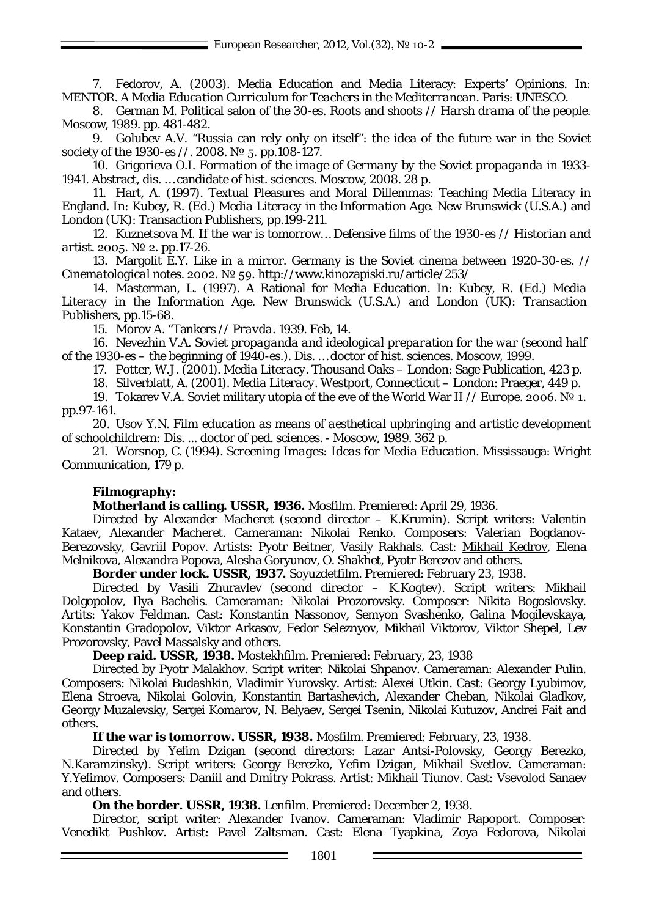7. Fedorov, A. (2003). Media Education and Media Literacy: Experts' Opinions. In: *MENTOR. A Media Education Curriculum for Teachers in the Mediterranean.* Paris: UNESCO.

8. German M. Political salon of the 30-es. Roots and shoots // *Harsh drama of the people.* Moscow, 1989. pp. 481-482.

9. Golubev A.V. "Russia can rely only on itself": the idea of the future war in the Soviet society of the 1930-es  $\frac{\pi}{2008}$ . N° 5. pp. 108-127.

10. Grigorieva O.I. *Formation of the image of Germany by the Soviet propaganda in 1933- 1941.* Abstract, dis. … candidate of hist. sciences. Moscow, 2008. 28 p.

11. Hart, A. (1997). Textual Pleasures and Moral Dillemmas: Teaching Media Literacy in England. In: Kubey, R. (Ed.) *Media Literacy in the Information Age.* New Brunswick (U.S.A.) and London (UK): Transaction Publishers, pp.199-211.

12. Kuznetsova M. If the war is tomorrow… Defensive films of the 1930-es // *Historian and artist.* 2005. № 2. pp.17-26.

13. Margolit E.Y. Like in a mirror. Germany is the Soviet cinema between 1920-30-es. // *Cinematological notes.* 2002. № 59. <http://www.kinozapiski.ru/article/253/>

14. Masterman, L. (1997). A Rational for Media Education. In: Kubey, R. (Ed*.) Media Literacy in the Information Age*. New Brunswick (U.S.A.) and London (UK): Transaction Publishers, pp.15-68.

15. Morov A. "Tankers // *Pravda.* 1939. Feb, 14.

16. Nevezhin V.A. *Soviet propaganda and ideological preparation for the war (second half of the 1930-es – the beginning of 1940-es.).* Dis. … doctor of hist. sciences. Moscow, 1999.

17. Potter, W.J. (2001). *Media Literacy.* Thousand Oaks – London: Sage Publication, 423 p.

18. Silverblatt, A. (2001). *Media Literacy.* Westport, Connecticut – London: Praeger, 449 p.

19. Tokarev V.A. Soviet military utopia of the eve of the World War II // *Europe.* 2006. № 1. pp.97-161.

20. Usov Y.N. *Film education as means of aesthetical upbringing and artistic development of schoolchildrem:* Dis. ... doctor of ped. sciences. - Moscow, 1989. 362 p.

21. Worsnop, C. (1994). *Screening Images: Ideas for Media Education.* Mississauga: Wright Communication, 179 p.

### **Filmography:**

**Motherland is calling. USSR, 1936.** Mosfilm. Premiered: April 29, 1936.

Directed by Alexander Macheret (second director – K.Krumin). Script writers: Valentin Kataev, Alexander Macheret. Cameraman: Nikolai Renko. Composers: Valerian Bogdanov-Berezovsky, Gavriil Popov. Artists: Pyotr Beitner, Vasily Rakhals. Cast: [Mikhail Kedrov,](http://www.kino-teatr.ru/kino/acter/m/sov/25311/bio/) Elena Melnikova, Alexandra Popova, Alesha Goryunov, O. Shakhet, Pyotr Berezov and others.

**Border under lock. USSR, 1937.** Soyuzdetfilm. Premiered: February 23, 1938.

Directed by Vasili Zhuravlev (second director – K.Kogtev). Script writers: Mikhail Dolgopolov, Ilya Bachelis. Cameraman: Nikolai Prozorovsky. Composer: Nikita Bogoslovsky. Artits: Yakov Feldman. Cast: Konstantin Nassonov, Semyon Svashenko, Galina Mogilevskaya, Konstantin Gradopolov, Viktor Arkasov, Fedor Seleznyov, Mikhail Viktorov, Viktor Shepel, Lev Prozorovsky, Pavel Massalsky and others.

**Deep raid. USSR, 1938.** Mostekhfilm. Premiered: February, 23, 1938

Directed by Pyotr Malakhov. Script writer: Nikolai Shpanov. Cameraman: Alexander Pulin. Composers: Nikolai Budashkin, Vladimir Yurovsky. Artist: Alexei Utkin. Cast: Georgy Lyubimov, Elena Stroeva, Nikolai Golovin, Konstantin Bartashevich, Alexander Cheban, Nikolai Gladkov, Georgy Muzalevsky, Sergei Komarov, N. Belyaev, Sergei Tsenin, Nikolai Kutuzov, Andrei Fait and others.

**If the war is tomorrow. USSR, 1938.** Mosfilm. Premiered: February, 23, 1938.

Directed by Yefim Dzigan (second directors: Lazar Antsi-Polovsky, Georgy Berezko, N.Karamzinsky). Script writers: Georgy Berezko, Yefim Dzigan, Mikhail Svetlov. Cameraman: Y.Yefimov. Composers: Daniil and Dmitry Pokrass. Artist: Mikhail Tiunov. Cast: Vsevolod Sanaev and others.

**On the border. USSR, 1938.** Lenfilm. Premiered: December 2, 1938.

Director, script writer: Alexander Ivanov. Cameraman: Vladimir Rapoport. Composer: Venedikt Pushkov. Artist: Pavel Zaltsman. Cast: Elena Tyapkina, Zoya Fedorova, Nikolai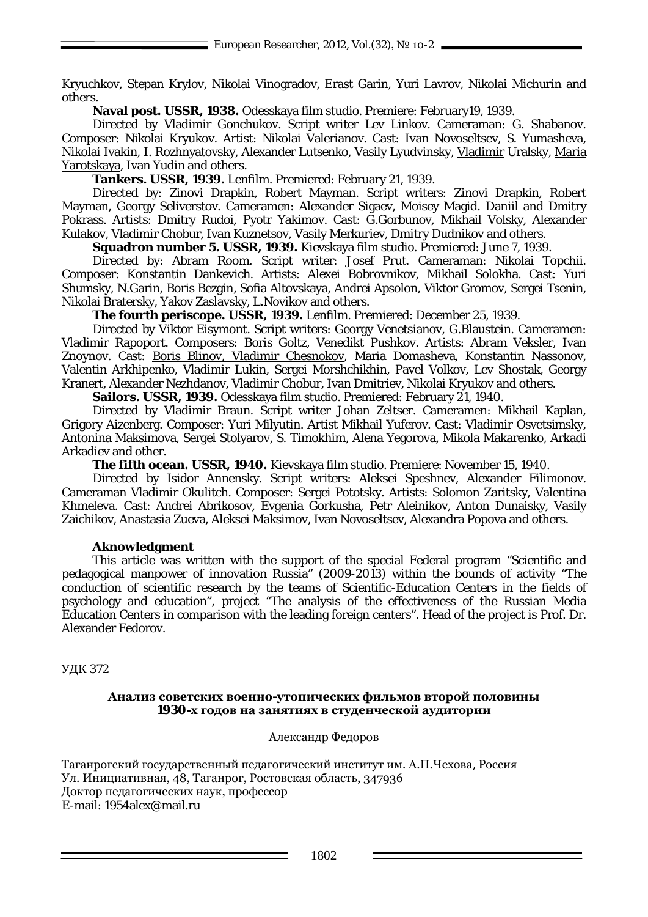Kryuchkov, Stepan Krylov, Nikolai Vinogradov, Erast Garin, Yuri Lavrov, Nikolai Michurin and others.

**Naval post. USSR, 1938.** Odesskaya film studio. Premiere: February19, 1939.

Directed by Vladimir Gonchukov. Script writer Lev Linkov. Cameraman: G. Shabanov. Composer: Nikolai Kryukov. Artist: Nikolai Valerianov. Cast: Ivan Novoseltsev, S. Yumasheva, Nikolai Ivakin, I. Rozhnyatovsky, Alexander Lutsenko, Vasily Lyudvinsky, [Vladimir](http://www.kino-teatr.ru/kino/acter/m/sov/6133/bio/) Uralsky, [Maria](http://www.kino-teatr.ru/kino/acter/w/sov/5094/bio/)  [Yarotskaya,](http://www.kino-teatr.ru/kino/acter/w/sov/5094/bio/) Ivan Yudin and others.

**Tankers. USSR, 1939.** Lenfilm. Premiered: February 21, 1939.

Directed by: Zinovi Drapkin, Robert Mayman. Script writers: Zinovi Drapkin, Robert Mayman, Georgy Seliverstov. Cameramen: Alexander Sigaev, Moisey Magid. Daniil and Dmitry Pokrass. Artists: Dmitry Rudoi, Pyotr Yakimov. Cast: G.Gorbunov, Mikhail Volsky, Alexander Kulakov, Vladimir Chobur, Ivan Kuznetsov, Vasily Merkuriev, Dmitry Dudnikov and others.

**Squadron number 5. USSR, 1939.** Kievskaya film studio. Premiered: June 7, 1939.

Directed by: Abram Room. Script writer: Josef Prut. Cameraman: Nikolai Topchii. Composer: Konstantin Dankevich. Artists: Alexei Bobrovnikov, Mikhail Solokha. Cast: Yuri Shumsky, N.Garin, Boris Bezgin, Sofia Altovskaya, Andrei Apsolon, Viktor Gromov, Sergei Tsenin, Nikolai Bratersky, Yakov Zaslavsky, L.Novikov and others.

**The fourth periscope. USSR, 1939.** Lenfilm. Premiered: December 25, 1939.

Directed by Viktor Eisymont. Script writers: Georgy Venetsianov, G.Blaustein. Cameramen: Vladimir Rapoport. Composers: Boris Goltz, Venedikt Pushkov. Artists: Abram Veksler, Ivan Znoynov. Cast: Boris [Blinov, Vladimir](http://www.kino-teatr.ru/kino/acter/m/sov/459/bio/) Chesnokov, Maria Domasheva, Konstantin Nassonov, Valentin Arkhipenko, Vladimir Lukin, Sergei Morshchikhin, Pavel Volkov, Lev Shostak, Georgy Kranert, Alexander Nezhdanov, Vladimir Chobur, Ivan Dmitriev, Nikolai Kryukov and others.

**Sailors. USSR, 1939.** Odesskaya film studio. Premiered: February 21, 1940.

Directed by Vladimir Braun. Script writer Johan Zeltser. Cameramen: Mikhail Kaplan, Grigory Aizenberg. Composer: Yuri Milyutin. Artist Mikhail Yuferov. Cast: Vladimir Osvetsimsky, Antonina Maksimova, Sergei Stolyarov, S. Timokhim, Alena Yegorova, Mikola Makarenko, Arkadi Arkadiev and other.

**The fifth ocean. USSR, 1940.** Kievskaya film studio. Premiere: November 15, 1940.

Directed by Isidor Annensky. Script writers: Aleksei Speshnev, Alexander Filimonov. Cameraman Vladimir Okulitch. Composer: Sergei Pototsky. Artists: Solomon Zaritsky, Valentina Khmeleva. Cast: Andrei Abrikosov, Evgenia Gorkusha, Petr Aleinikov, Anton Dunaisky, Vasily Zaichikov, Anastasia Zueva, Aleksei Maksimov, Ivan Novoseltsev, Alexandra Popova and others.

### **Aknowledgment**

This article was written with the support of the special Federal program "Scientific and pedagogical manpower of innovation Russia" (2009-2013) within the bounds of activity "The conduction of scientific research by the teams of Scientific-Education Centers in the fields of psychology and education", project "The analysis of the effectiveness of the Russian Media Education Centers in comparison with the leading foreign centers". Head of the project is Prof. Dr. Alexander Fedorov.

УДК 372

### **Анализ советских военно-утопических фильмов второй половины 1930-х годов на занятиях в студенческой аудитории**

Александр Федоров

Таганрогский государственный педагогический институт им. А.П.Чехова, Россия Ул. Инициативная, 48, Таганрог, Ростовская область, 347936 Доктор педагогических наук, профессор E-mail: 1954alex@mail.ru